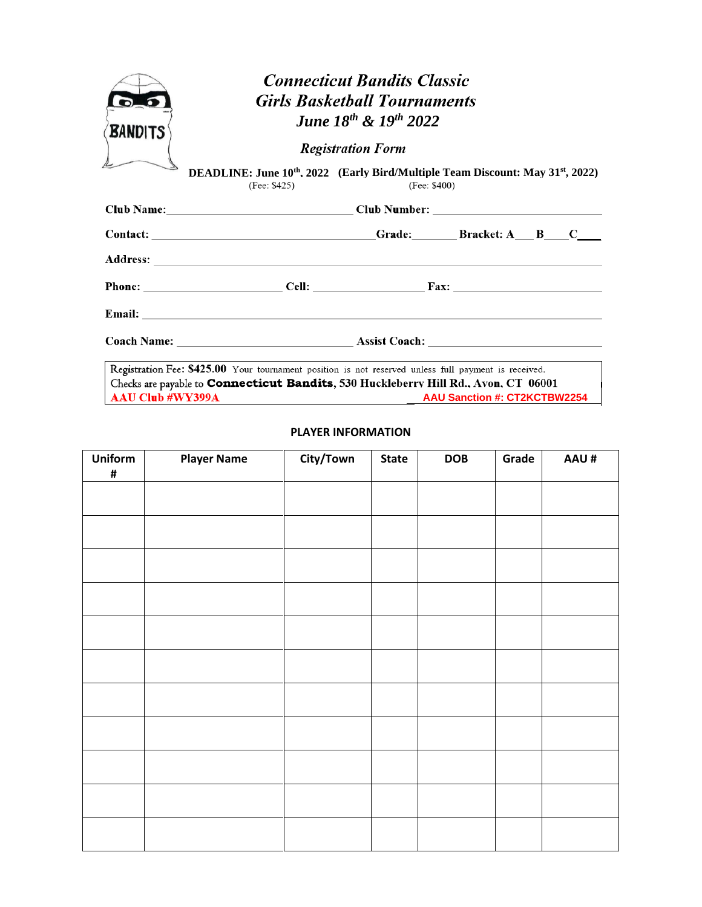| <b>BANDITS</b>          | <b>Connecticut Bandits Classic</b><br><b>Girls Basketball Tournaments</b><br><b>June 18th &amp; 19th 2022</b><br><b>Registration Form</b>                                                                                      |                                                                                                                           |                                     |  |  |  |  |  |  |
|-------------------------|--------------------------------------------------------------------------------------------------------------------------------------------------------------------------------------------------------------------------------|---------------------------------------------------------------------------------------------------------------------------|-------------------------------------|--|--|--|--|--|--|
|                         | (Fee: \$425)                                                                                                                                                                                                                   | DEADLINE: June 10 <sup>th</sup> , 2022 (Early Bird/Multiple Team Discount: May 31 <sup>st</sup> , 2022)<br>(Fee: $$400$ ) |                                     |  |  |  |  |  |  |
|                         |                                                                                                                                                                                                                                |                                                                                                                           |                                     |  |  |  |  |  |  |
|                         | Contact: Contact: Contact: Contact: Contact: Contact: Contact: Contact: Contact: Contact: Contact: Contact: Contact: Contact: Contact: Contact: Contact: Contact: Contact: Contact: Contact: Contact: Contact: Contact: Contac |                                                                                                                           |                                     |  |  |  |  |  |  |
|                         |                                                                                                                                                                                                                                |                                                                                                                           |                                     |  |  |  |  |  |  |
|                         |                                                                                                                                                                                                                                |                                                                                                                           |                                     |  |  |  |  |  |  |
|                         |                                                                                                                                                                                                                                |                                                                                                                           |                                     |  |  |  |  |  |  |
|                         |                                                                                                                                                                                                                                |                                                                                                                           |                                     |  |  |  |  |  |  |
| <b>AAU Club #WY399A</b> | Registration Fee: \$425.00 Your tournament position is not reserved unless full payment is received.<br>Checks are payable to <b>Connecticut Bandits</b> , 530 Huckleberry Hill Rd., Avon, CT 06001                            |                                                                                                                           | <b>AAU Sanction #: CT2KCTBW2254</b> |  |  |  |  |  |  |

## **PLAYER INFORMATION**

| <b>Uniform</b> | <b>Player Name</b> | City/Town | <b>State</b> | <b>DOB</b> | Grade | AAU# |
|----------------|--------------------|-----------|--------------|------------|-------|------|
| $\pmb{\sharp}$ |                    |           |              |            |       |      |
|                |                    |           |              |            |       |      |
|                |                    |           |              |            |       |      |
|                |                    |           |              |            |       |      |
|                |                    |           |              |            |       |      |
|                |                    |           |              |            |       |      |
|                |                    |           |              |            |       |      |
|                |                    |           |              |            |       |      |
|                |                    |           |              |            |       |      |
|                |                    |           |              |            |       |      |
|                |                    |           |              |            |       |      |
|                |                    |           |              |            |       |      |